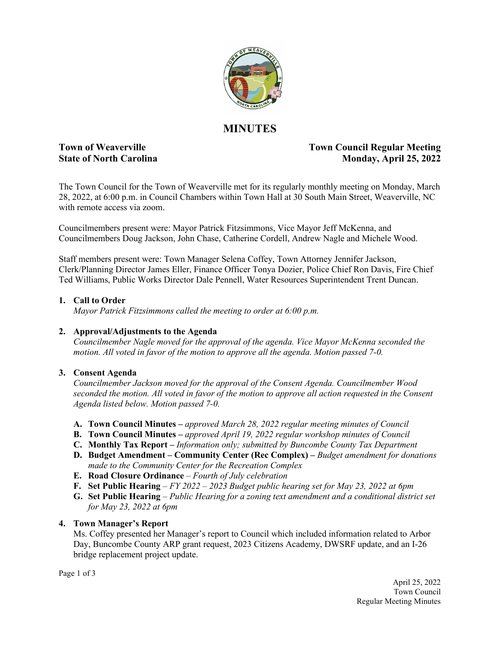

# **MINUTES**

## **Town of Weaverville Town Council Regular Meeting State of North Carolina Monday, April 25, 2022**

The Town Council for the Town of Weaverville met for its regularly monthly meeting on Monday, March 28, 2022, at 6:00 p.m. in Council Chambers within Town Hall at 30 South Main Street, Weaverville, NC with remote access via zoom.

Councilmembers present were: Mayor Patrick Fitzsimmons, Vice Mayor Jeff McKenna, and Councilmembers Doug Jackson, John Chase, Catherine Cordell, Andrew Nagle and Michele Wood.

Staff members present were: Town Manager Selena Coffey, Town Attorney Jennifer Jackson, Clerk/Planning Director James Eller, Finance Officer Tonya Dozier, Police Chief Ron Davis, Fire Chief Ted Williams, Public Works Director Dale Pennell, Water Resources Superintendent Trent Duncan.

### **1. Call to Order**

*Mayor Patrick Fitzsimmons called the meeting to order at 6:00 p.m.* 

#### **2. Approval/Adjustments to the Agenda**

*Councilmember Nagle moved for the approval of the agenda. Vice Mayor McKenna seconded the motion. All voted in favor of the motion to approve all the agenda. Motion passed 7-0.*

## **3. Consent Agenda**

*Councilmember Jackson moved for the approval of the Consent Agenda. Councilmember Wood seconded the motion. All voted in favor of the motion to approve all action requested in the Consent Agenda listed below. Motion passed 7-0.* 

- **A. Town Council Minutes –** *approved March 28, 2022 regular meeting minutes of Council*
- **B. Town Council Minutes** *approved April 19, 2022 regular workshop minutes of Council*
- **C. Monthly Tax Report** *Information only; submitted by Buncombe County Tax Department*
- **D. Budget Amendment Community Center (Rec Complex)** *Budget amendment for donations made to the Community Center for the Recreation Complex*
- **E. Road Closure Ordinance** *Fourth of July celebration*
- **F. Set Public Hearing** *FY 2022 2023 Budget public hearing set for May 23, 2022 at 6pm*
- **G. Set Public Hearing** *Public Hearing for a zoning text amendment and a conditional district set for May 23, 2022 at 6pm*

## **4. Town Manager's Report**

Ms. Coffey presented her Manager's report to Council which included information related to Arbor Day, Buncombe County ARP grant request, 2023 Citizens Academy, DWSRF update, and an I-26 bridge replacement project update.

Page 1 of 3

April 25, 2022 Town Council Regular Meeting Minutes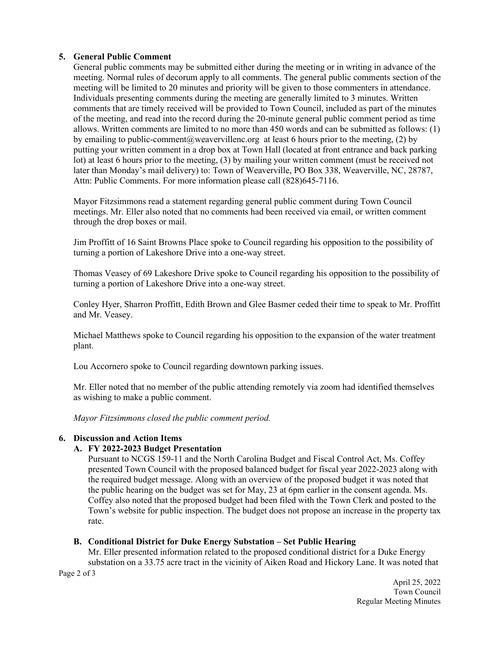#### **5. General Public Comment**

General public comments may be submitted either during the meeting or in writing in advance of the meeting. Normal rules of decorum apply to all comments. The general public comments section of the meeting will be limited to 20 minutes and priority will be given to those commenters in attendance. Individuals presenting comments during the meeting are generally limited to 3 minutes. Written comments that are timely received will be provided to Town Council, included as part of the minutes of the meeting, and read into the record during the 20-minute general public comment period as time allows. Written comments are limited to no more than 450 words and can be submitted as follows: (1) by emailing to public-comment@weavervillenc.org at least 6 hours prior to the meeting, (2) by putting your written comment in a drop box at Town Hall (located at front entrance and back parking lot) at least 6 hours prior to the meeting, (3) by mailing your written comment (must be received not later than Monday's mail delivery) to: Town of Weaverville, PO Box 338, Weaverville, NC, 28787, Attn: Public Comments. For more information please call (828)645-7116.

Mayor Fitzsimmons read a statement regarding general public comment during Town Council meetings. Mr. Eller also noted that no comments had been received via email, or written comment through the drop boxes or mail.

Jim Proffitt of 16 Saint Browns Place spoke to Council regarding his opposition to the possibility of turning a portion of Lakeshore Drive into a one-way street.

Thomas Veasey of 69 Lakeshore Drive spoke to Council regarding his opposition to the possibility of turning a portion of Lakeshore Drive into a one-way street.

Conley Hyer, Sharron Proffitt, Edith Brown and Glee Basmer ceded their time to speak to Mr. Proffitt and Mr. Veasey.

Michael Matthews spoke to Council regarding his opposition to the expansion of the water treatment plant.

Lou Accornero spoke to Council regarding downtown parking issues.

Mr. Eller noted that no member of the public attending remotely via zoom had identified themselves as wishing to make a public comment.

*Mayor Fitzsimmons closed the public comment period.* 

#### **6. Discussion and Action Items**

#### **A. FY 2022-2023 Budget Presentation**

Pursuant to NCGS 159-11 and the North Carolina Budget and Fiscal Control Act, Ms. Coffey presented Town Council with the proposed balanced budget for fiscal year 2022-2023 along with the required budget message. Along with an overview of the proposed budget it was noted that the public hearing on the budget was set for May, 23 at 6pm earlier in the consent agenda. Ms. Coffey also noted that the proposed budget had been filed with the Town Clerk and posted to the Town's website for public inspection. The budget does not propose an increase in the property tax rate.

#### **B. Conditional District for Duke Energy Substation – Set Public Hearing**

Mr. Eller presented information related to the proposed conditional district for a Duke Energy substation on a 33.75 acre tract in the vicinity of Aiken Road and Hickory Lane. It was noted that

Page 2 of 3

April 25, 2022 Town Council Regular Meeting Minutes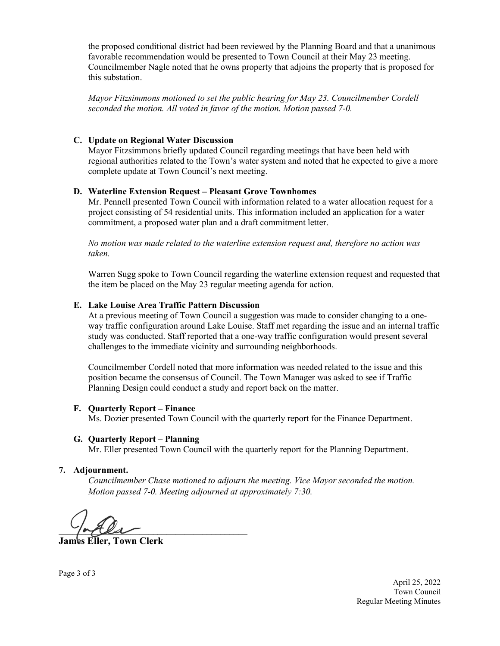the proposed conditional district had been reviewed by the Planning Board and that a unanimous favorable recommendation would be presented to Town Council at their May 23 meeting. Councilmember Nagle noted that he owns property that adjoins the property that is proposed for this substation.

*Mayor Fitzsimmons motioned to set the public hearing for May 23. Councilmember Cordell seconded the motion. All voted in favor of the motion. Motion passed 7-0.* 

### **C. Update on Regional Water Discussion**

Mayor Fitzsimmons briefly updated Council regarding meetings that have been held with regional authorities related to the Town's water system and noted that he expected to give a more complete update at Town Council's next meeting.

### **D. Waterline Extension Request – Pleasant Grove Townhomes**

Mr. Pennell presented Town Council with information related to a water allocation request for a project consisting of 54 residential units. This information included an application for a water commitment, a proposed water plan and a draft commitment letter.

*No motion was made related to the waterline extension request and, therefore no action was taken.*

Warren Sugg spoke to Town Council regarding the waterline extension request and requested that the item be placed on the May 23 regular meeting agenda for action.

### **E. Lake Louise Area Traffic Pattern Discussion**

At a previous meeting of Town Council a suggestion was made to consider changing to a oneway traffic configuration around Lake Louise. Staff met regarding the issue and an internal traffic study was conducted. Staff reported that a one-way traffic configuration would present several challenges to the immediate vicinity and surrounding neighborhoods.

Councilmember Cordell noted that more information was needed related to the issue and this position became the consensus of Council. The Town Manager was asked to see if Traffic Planning Design could conduct a study and report back on the matter.

## **F. Quarterly Report – Finance**

Ms. Dozier presented Town Council with the quarterly report for the Finance Department.

#### **G. Quarterly Report – Planning**

Mr. Eller presented Town Council with the quarterly report for the Planning Department.

#### **7. Adjournment.**

*Councilmember Chase motioned to adjourn the meeting. Vice Mayor seconded the motion. Motion passed 7-0. Meeting adjourned at approximately 7:30.* 

 $\frac{1}{2}$ 

**James Eller, Town Clerk**

Page 3 of 3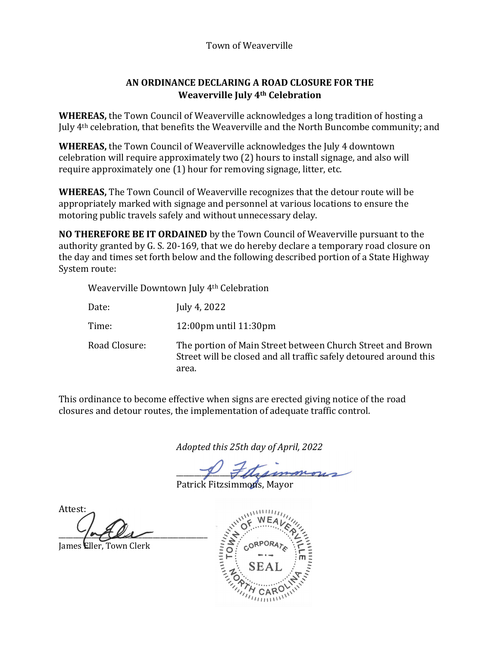# Town of Weaverville

# **AN ORDINANCE DECLARING A ROAD CLOSURE FOR THE Weaverville July 4th Celebration**

**WHEREAS,** the Town Council of Weaverville acknowledges a long tradition of hosting a July 4th celebration, that benefits the Weaverville and the North Buncombe community; and

**WHEREAS,** the Town Council of Weaverville acknowledges the July 4 downtown celebration will require approximately two (2) hours to install signage, and also will require approximately one (1) hour for removing signage, litter, etc.

**WHEREAS,** The Town Council of Weaverville recognizes that the detour route will be appropriately marked with signage and personnel at various locations to ensure the motoring public travels safely and without unnecessary delay.

**NO THEREFORE BE IT ORDAINED** by the Town Council of Weaverville pursuant to the authority granted by G. S. 20-169, that we do hereby declare a temporary road closure on the day and times set forth below and the following described portion of a State Highway System route:

Weaverville Downtown July 4th Celebration

| Date:         | July 4, 2022                                                                                                                             |
|---------------|------------------------------------------------------------------------------------------------------------------------------------------|
| Time:         | $12:00 \text{pm}$ until $11:30 \text{pm}$                                                                                                |
| Road Closure: | The portion of Main Street between Church Street and Brown<br>Street will be closed and all traffic safely detoured around this<br>area. |

This ordinance to become effective when signs are erected giving notice of the road closures and detour routes, the implementation of adequate traffic control.

*Adopted this 25th day of April, 2022*

I Felicion

Patrick Fitzsimmons, Mavor

Attest:  $\frac{1}{2}$ 

James Eller, Town Clerk